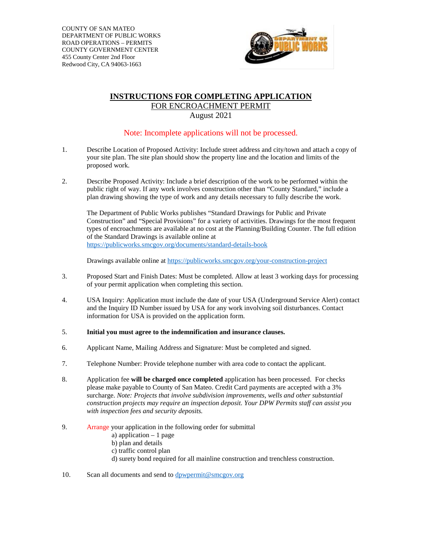COUNTY OF SAN MATEO DEPARTMENT OF PUBLIC WORKS ROAD OPERATIONS – PERMITS COUNTY GOVERNMENT CENTER 455 County Center 2nd Floor Redwood City, CA 94063-1663



## **INSTRUCTIONS FOR COMPLETING APPLICATION** FOR ENCROACHMENT PERMIT August 2021

## Note: Incomplete applications will not be processed.

- 1. Describe Location of Proposed Activity: Include street address and city/town and attach a copy of your site plan. The site plan should show the property line and the location and limits of the proposed work.
- 2. Describe Proposed Activity: Include a brief description of the work to be performed within the public right of way. If any work involves construction other than "County Standard," include a plan drawing showing the type of work and any details necessary to fully describe the work.

The Department of Public Works publishes "Standard Drawings for Public and Private Construction" and "Special Provisions" for a variety of activities. Drawings for the most frequent types of encroachments are available at no cost at the Planning/Building Counter. The full edition of the Standard Drawings is available online at <https://publicworks.smcgov.org/documents/standard-details-book>

Drawings available online at<https://publicworks.smcgov.org/your-construction-project>

- 3. Proposed Start and Finish Dates: Must be completed. Allow at least 3 working days for processing of your permit application when completing this section.
- 4. USA Inquiry: Application must include the date of your USA (Underground Service Alert) contact and the Inquiry ID Number issued by USA for any work involving soil disturbances. Contact information for USA is provided on the application form.
- 5. **Initial you must agree to the indemnification and insurance clauses.**
- 6. Applicant Name, Mailing Address and Signature: Must be completed and signed.
- 7. Telephone Number: Provide telephone number with area code to contact the applicant.
- 8. Application fee **will be charged once completed** application has been processed. For checks please make payable to County of San Mateo. Credit Card payments are accepted with a 3% surcharge. *Note: Projects that involve subdivision improvements, wells and other substantial construction projects may require an inspection deposit. Your DPW Permits staff can assist you with inspection fees and security deposits.*
- 9. Arrange your application in the following order for submittal
	- a) application  $-1$  page
	- b) plan and details
	- c) traffic control plan
	- d) surety bond required for all mainline construction and trenchless construction.
- 10. Scan all documents and send to [dpwpermit@smcgov.org](mailto:dpwpermit@smcgov.org)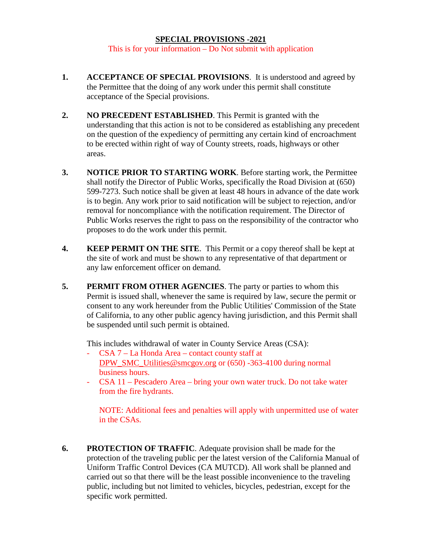## **SPECIAL PROVISIONS -2021**

This is for your information – Do Not submit with application

- **1. ACCEPTANCE OF SPECIAL PROVISIONS**. It is understood and agreed by the Permittee that the doing of any work under this permit shall constitute acceptance of the Special provisions.
- **2. NO PRECEDENT ESTABLISHED**. This Permit is granted with the understanding that this action is not to be considered as establishing any precedent on the question of the expediency of permitting any certain kind of encroachment to be erected within right of way of County streets, roads, highways or other areas.
- **3. NOTICE PRIOR TO STARTING WORK**. Before starting work, the Permittee shall notify the Director of Public Works, specifically the Road Division at (650) 599-7273. Such notice shall be given at least 48 hours in advance of the date work is to begin. Any work prior to said notification will be subject to rejection, and/or removal for noncompliance with the notification requirement. The Director of Public Works reserves the right to pass on the responsibility of the contractor who proposes to do the work under this permit.
- **4. KEEP PERMIT ON THE SITE**. This Permit or a copy thereof shall be kept at the site of work and must be shown to any representative of that department or any law enforcement officer on demand.
- **5. PERMIT FROM OTHER AGENCIES**. The party or parties to whom this Permit is issued shall, whenever the same is required by law, secure the permit or consent to any work hereunder from the Public Utilities' Commission of the State of California, to any other public agency having jurisdiction, and this Permit shall be suspended until such permit is obtained.

This includes withdrawal of water in County Service Areas (CSA):

- CSA 7 La Honda Area contact county staff at [DPW\\_SMC\\_Utilities@smcgov.org](mailto:DPW_SMC_Utilities@smcgov.org) or (650) -363-4100 during normal business hours.
- CSA 11 Pescadero Area bring your own water truck. Do not take water from the fire hydrants.

NOTE: Additional fees and penalties will apply with unpermitted use of water in the CSAs.

**6. PROTECTION OF TRAFFIC**. Adequate provision shall be made for the protection of the traveling public per the latest version of the California Manual of Uniform Traffic Control Devices (CA MUTCD). All work shall be planned and carried out so that there will be the least possible inconvenience to the traveling public, including but not limited to vehicles, bicycles, pedestrian, except for the specific work permitted.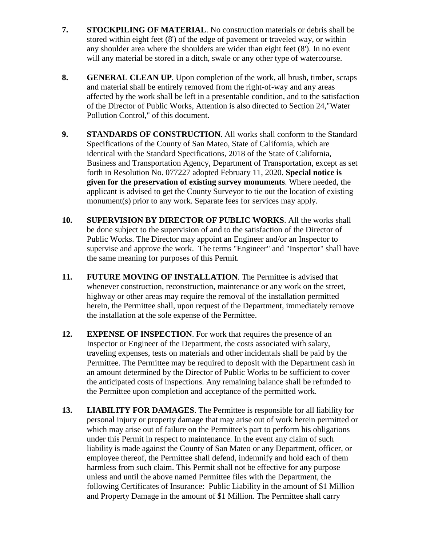- **7. STOCKPILING OF MATERIAL**. No construction materials or debris shall be stored within eight feet (8') of the edge of pavement or traveled way, or within any shoulder area where the shoulders are wider than eight feet (8'). In no event will any material be stored in a ditch, swale or any other type of watercourse.
- **8. GENERAL CLEAN UP**. Upon completion of the work, all brush, timber, scraps and material shall be entirely removed from the right-of-way and any areas affected by the work shall be left in a presentable condition, and to the satisfaction of the Director of Public Works, Attention is also directed to Section 24,"Water Pollution Control," of this document.
- **9. STANDARDS OF CONSTRUCTION**. All works shall conform to the Standard Specifications of the County of San Mateo, State of California, which are identical with the Standard Specifications, 2018 of the State of California, Business and Transportation Agency, Department of Transportation, except as set forth in Resolution No. 077227 adopted February 11, 2020. **Special notice is given for the preservation of existing survey monuments**. Where needed, the applicant is advised to get the County Surveyor to tie out the location of existing monument(s) prior to any work. Separate fees for services may apply.
- **10. SUPERVISION BY DIRECTOR OF PUBLIC WORKS**. All the works shall be done subject to the supervision of and to the satisfaction of the Director of Public Works. The Director may appoint an Engineer and/or an Inspector to supervise and approve the work. The terms "Engineer" and "Inspector" shall have the same meaning for purposes of this Permit.
- **11. FUTURE MOVING OF INSTALLATION**. The Permittee is advised that whenever construction, reconstruction, maintenance or any work on the street, highway or other areas may require the removal of the installation permitted herein, the Permittee shall, upon request of the Department, immediately remove the installation at the sole expense of the Permittee.
- **12. EXPENSE OF INSPECTION**. For work that requires the presence of an Inspector or Engineer of the Department, the costs associated with salary, traveling expenses, tests on materials and other incidentals shall be paid by the Permittee. The Permittee may be required to deposit with the Department cash in an amount determined by the Director of Public Works to be sufficient to cover the anticipated costs of inspections. Any remaining balance shall be refunded to the Permittee upon completion and acceptance of the permitted work.
- **13. LIABILITY FOR DAMAGES**. The Permittee is responsible for all liability for personal injury or property damage that may arise out of work herein permitted or which may arise out of failure on the Permittee's part to perform his obligations under this Permit in respect to maintenance. In the event any claim of such liability is made against the County of San Mateo or any Department, officer, or employee thereof, the Permittee shall defend, indemnify and hold each of them harmless from such claim. This Permit shall not be effective for any purpose unless and until the above named Permittee files with the Department, the following Certificates of Insurance: Public Liability in the amount of \$1 Million and Property Damage in the amount of \$1 Million. The Permittee shall carry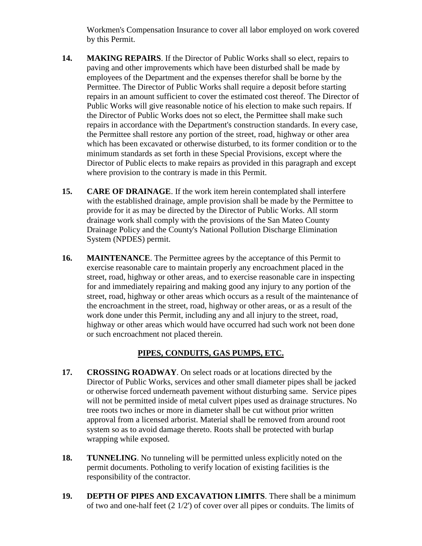Workmen's Compensation Insurance to cover all labor employed on work covered by this Permit.

- **14. MAKING REPAIRS**. If the Director of Public Works shall so elect, repairs to paving and other improvements which have been disturbed shall be made by employees of the Department and the expenses therefor shall be borne by the Permittee. The Director of Public Works shall require a deposit before starting repairs in an amount sufficient to cover the estimated cost thereof. The Director of Public Works will give reasonable notice of his election to make such repairs. If the Director of Public Works does not so elect, the Permittee shall make such repairs in accordance with the Department's construction standards. In every case, the Permittee shall restore any portion of the street, road, highway or other area which has been excavated or otherwise disturbed, to its former condition or to the minimum standards as set forth in these Special Provisions, except where the Director of Public elects to make repairs as provided in this paragraph and except where provision to the contrary is made in this Permit.
- **15. CARE OF DRAINAGE**. If the work item herein contemplated shall interfere with the established drainage, ample provision shall be made by the Permittee to provide for it as may be directed by the Director of Public Works. All storm drainage work shall comply with the provisions of the San Mateo County Drainage Policy and the County's National Pollution Discharge Elimination System (NPDES) permit.
- **16. MAINTENANCE**. The Permittee agrees by the acceptance of this Permit to exercise reasonable care to maintain properly any encroachment placed in the street, road, highway or other areas, and to exercise reasonable care in inspecting for and immediately repairing and making good any injury to any portion of the street, road, highway or other areas which occurs as a result of the maintenance of the encroachment in the street, road, highway or other areas, or as a result of the work done under this Permit, including any and all injury to the street, road, highway or other areas which would have occurred had such work not been done or such encroachment not placed therein.

# **PIPES, CONDUITS, GAS PUMPS, ETC.**

- **17. CROSSING ROADWAY**. On select roads or at locations directed by the Director of Public Works, services and other small diameter pipes shall be jacked or otherwise forced underneath pavement without disturbing same. Service pipes will not be permitted inside of metal culvert pipes used as drainage structures. No tree roots two inches or more in diameter shall be cut without prior written approval from a licensed arborist. Material shall be removed from around root system so as to avoid damage thereto. Roots shall be protected with burlap wrapping while exposed.
- **18. TUNNELING**. No tunneling will be permitted unless explicitly noted on the permit documents. Potholing to verify location of existing facilities is the responsibility of the contractor.
- **19. DEPTH OF PIPES AND EXCAVATION LIMITS**. There shall be a minimum of two and one-half feet (2 1/2') of cover over all pipes or conduits. The limits of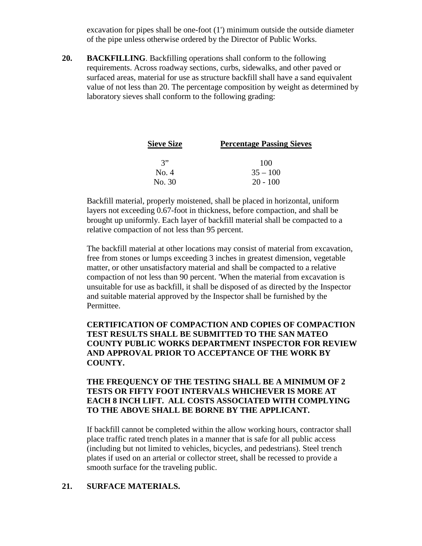excavation for pipes shall be one-foot  $(1')$  minimum outside the outside diameter of the pipe unless otherwise ordered by the Director of Public Works.

**20. BACKFILLING**. Backfilling operations shall conform to the following requirements. Across roadway sections, curbs, sidewalks, and other paved or surfaced areas, material for use as structure backfill shall have a sand equivalent value of not less than 20. The percentage composition by weight as determined by laboratory sieves shall conform to the following grading:

| <b>Sieve Size</b> | <b>Percentage Passing Sieves</b> |  |
|-------------------|----------------------------------|--|
| 3"                | 100                              |  |
| No. 4             | $35 - 100$                       |  |
| No. 30            | $20 - 100$                       |  |

Backfill material, properly moistened, shall be placed in horizontal, uniform layers not exceeding 0.67-foot in thickness, before compaction, and shall be brought up uniformly. Each layer of backfill material shall be compacted to a relative compaction of not less than 95 percent.

The backfill material at other locations may consist of material from excavation, free from stones or lumps exceeding 3 inches in greatest dimension, vegetable matter, or other unsatisfactory material and shall be compacted to a relative compaction of not less than 90 percent. 'When the material from excavation is unsuitable for use as backfill, it shall be disposed of as directed by the Inspector and suitable material approved by the Inspector shall be furnished by the Permittee.

## **CERTIFICATION OF COMPACTION AND COPIES OF COMPACTION TEST RESULTS SHALL BE SUBMITTED TO THE SAN MATEO COUNTY PUBLIC WORKS DEPARTMENT INSPECTOR FOR REVIEW AND APPROVAL PRIOR TO ACCEPTANCE OF THE WORK BY COUNTY.**

# **THE FREQUENCY OF THE TESTING SHALL BE A MINIMUM OF 2 TESTS OR FIFTY FOOT INTERVALS WHICHEVER IS MORE AT EACH 8 INCH LIFT. ALL COSTS ASSOCIATED WITH COMPLYING TO THE ABOVE SHALL BE BORNE BY THE APPLICANT.**

If backfill cannot be completed within the allow working hours, contractor shall place traffic rated trench plates in a manner that is safe for all public access (including but not limited to vehicles, bicycles, and pedestrians). Steel trench plates if used on an arterial or collector street, shall be recessed to provide a smooth surface for the traveling public.

#### **21. SURFACE MATERIALS.**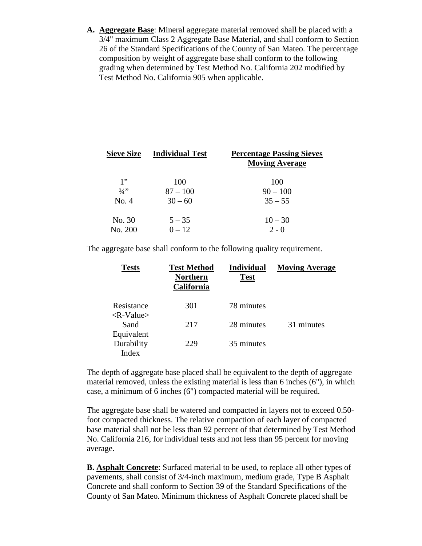**A. Aggregate Base**: Mineral aggregate material removed shall be placed with a 3/4" maximum Class 2 Aggregate Base Material, and shall conform to Section 26 of the Standard Specifications of the County of San Mateo. The percentage composition by weight of aggregate base shall conform to the following grading when determined by Test Method No. California 202 modified by Test Method No. California 905 when applicable.

| <b>Sieve Size</b> | <b>Individual Test</b> | <b>Percentage Passing Sieves</b><br><b>Moving Average</b> |
|-------------------|------------------------|-----------------------------------------------------------|
| 1"                | 100                    | 100                                                       |
| 3/4"              | $87 - 100$             | $90 - 100$                                                |
| No. 4             | $30 - 60$              | $35 - 55$                                                 |
| No. 30            | $5 - 35$               | $10 - 30$                                                 |
| No. 200           | $0 - 12$               | $2 - 0$                                                   |

The aggregate base shall conform to the following quality requirement.

| <b>Tests</b>                                   | <b>Test Method</b><br><b>Northern</b><br>California | <b>Individual</b><br><b>Test</b> | <b>Moving Average</b> |
|------------------------------------------------|-----------------------------------------------------|----------------------------------|-----------------------|
| Resistance<br>$\langle R\text{-}Value \rangle$ | 301                                                 | 78 minutes                       |                       |
| Sand<br>Equivalent                             | 217                                                 | 28 minutes                       | 31 minutes            |
| Durability<br>Index                            | 229                                                 | 35 minutes                       |                       |

The depth of aggregate base placed shall be equivalent to the depth of aggregate material removed, unless the existing material is less than 6 inches (6"), in which case, a minimum of 6 inches (6") compacted material will be required.

The aggregate base shall be watered and compacted in layers not to exceed 0.50 foot compacted thickness. The relative compaction of each layer of compacted base material shall not be less than 92 percent of that determined by Test Method No. California 216, for individual tests and not less than 95 percent for moving average.

**B. Asphalt Concrete**: Surfaced material to be used, to replace all other types of pavements, shall consist of 3/4-inch maximum, medium grade, Type B Asphalt Concrete and shall conform to Section 39 of the Standard Specifications of the County of San Mateo. Minimum thickness of Asphalt Concrete placed shall be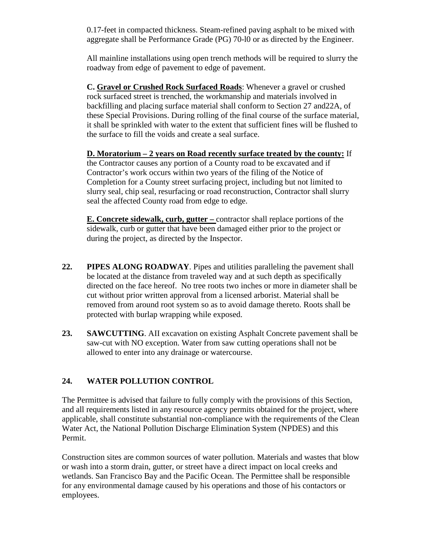0.17-feet in compacted thickness. Steam-refined paving asphalt to be mixed with aggregate shall be Performance Grade (PG) 70-l0 or as directed by the Engineer.

All mainline installations using open trench methods will be required to slurry the roadway from edge of pavement to edge of pavement.

**C. Gravel or Crushed Rock Surfaced Roads**: Whenever a gravel or crushed rock surfaced street is trenched, the workmanship and materials involved in backfilling and placing surface material shall conform to Section 27 and22A, of these Special Provisions. During rolling of the final course of the surface material, it shall be sprinkled with water to the extent that sufficient fines will be flushed to the surface to fill the voids and create a seal surface.

**D. Moratorium – 2 years on Road recently surface treated by the county:** If the Contractor causes any portion of a County road to be excavated and if Contractor's work occurs within two years of the filing of the Notice of Completion for a County street surfacing project, including but not limited to slurry seal, chip seal, resurfacing or road reconstruction, Contractor shall slurry seal the affected County road from edge to edge.

**E. Concrete sidewalk, curb, gutter –** contractor shall replace portions of the sidewalk, curb or gutter that have been damaged either prior to the project or during the project, as directed by the Inspector.

- **22. PIPES ALONG ROADWAY**. Pipes and utilities paralleling the pavement shall be located at the distance from traveled way and at such depth as specifically directed on the face hereof. No tree roots two inches or more in diameter shall be cut without prior written approval from a licensed arborist. Material shall be removed from around root system so as to avoid damage thereto. Roots shall be protected with burlap wrapping while exposed.
- **23. SAWCUTTING**. AII excavation on existing Asphalt Concrete pavement shall be saw-cut with NO exception. Water from saw cutting operations shall not be allowed to enter into any drainage or watercourse.

# **24. WATER POLLUTION CONTROL**

The Permittee is advised that failure to fully comply with the provisions of this Section, and all requirements listed in any resource agency permits obtained for the project, where applicable, shall constitute substantial non-compliance with the requirements of the Clean Water Act, the National Pollution Discharge Elimination System (NPDES) and this Permit.

Construction sites are common sources of water pollution. Materials and wastes that blow or wash into a storm drain, gutter, or street have a direct impact on local creeks and wetlands. San Francisco Bay and the Pacific Ocean. The Permittee shall be responsible for any environmental damage caused by his operations and those of his contactors or employees.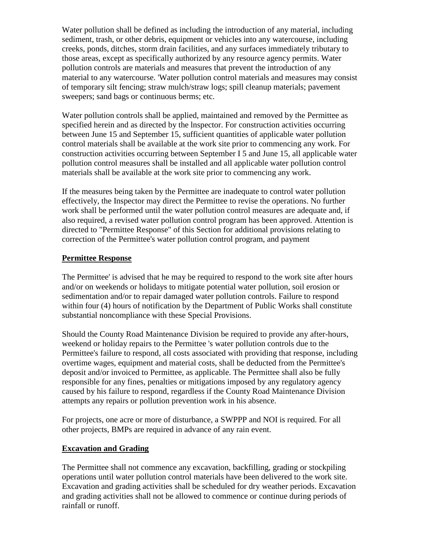Water pollution shall be defined as including the introduction of any material, including sediment, trash, or other debris, equipment or vehicles into any watercourse, including creeks, ponds, ditches, storm drain facilities, and any surfaces immediately tributary to those areas, except as specifically authorized by any resource agency permits. Water pollution controls are materials and measures that prevent the introduction of any material to any watercourse. 'Water pollution control materials and measures may consist of temporary silt fencing; straw mulch/straw logs; spill cleanup materials; pavement sweepers; sand bags or continuous berms; etc.

Water pollution controls shall be applied, maintained and removed by the Permittee as specified herein and as directed by the lnspector. For construction activities occurring between June 15 and September 15, sufficient quantities of applicable water pollution control materials shall be available at the work site prior to commencing any work. For construction activities occurring between September I 5 and June 15, all applicable water pollution control measures shall be installed and all applicable water pollution control materials shall be available at the work site prior to commencing any work.

If the measures being taken by the Permittee are inadequate to control water pollution effectively, the Inspector may direct the Permittee to revise the operations. No further work shall be performed until the water pollution control measures are adequate and, if also required, a revised water pollution control program has been approved. Attention is directed to "Permittee Response" of this Section for additional provisions relating to correction of the Permittee's water pollution control program, and payment

## **Permittee Response**

The Permittee' is advised that he may be required to respond to the work site after hours and/or on weekends or holidays to mitigate potential water pollution, soil erosion or sedimentation and/or to repair damaged water pollution controls. Failure to respond within four (4) hours of notification by the Department of Public Works shall constitute substantial noncompliance with these Special Provisions.

Should the County Road Maintenance Division be required to provide any after-hours, weekend or holiday repairs to the Permittee 's water pollution controls due to the Permittee's failure to respond, all costs associated with providing that response, including overtime wages, equipment and material costs, shall be deducted from the Permittee's deposit and/or invoiced to Permittee, as applicable. The Permittee shall also be fully responsible for any fines, penalties or mitigations imposed by any regulatory agency caused by his failure to respond, regardless if the County Road Maintenance Division attempts any repairs or pollution prevention work in his absence.

For projects, one acre or more of disturbance, a SWPPP and NOI is required. For all other projects, BMPs are required in advance of any rain event.

#### **Excavation and Grading**

The Permittee shall not commence any excavation, backfilling, grading or stockpiling operations until water pollution control materials have been delivered to the work site. Excavation and grading activities shall be scheduled for dry weather periods. Excavation and grading activities shall not be allowed to commence or continue during periods of rainfall or runoff.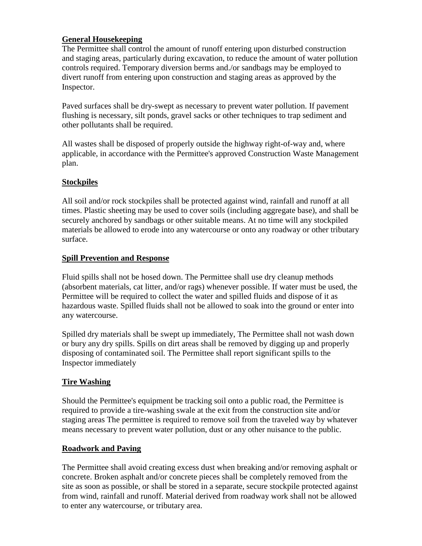# **General Housekeeping**

The Permittee shall control the amount of runoff entering upon disturbed construction and staging areas, particularly during excavation, to reduce the amount of water pollution controls required. Temporary diversion berms and./or sandbags may be employed to divert runoff from entering upon construction and staging areas as approved by the Inspector.

Paved surfaces shall be dry-swept as necessary to prevent water pollution. If pavement flushing is necessary, silt ponds, gravel sacks or other techniques to trap sediment and other pollutants shall be required.

All wastes shall be disposed of properly outside the highway right-of-way and, where applicable, in accordance with the Permittee's approved Construction Waste Management plan.

## **Stockpiles**

All soil and/or rock stockpiles shall be protected against wind, rainfall and runoff at all times. Plastic sheeting may be used to cover soils (including aggregate base), and shall be securely anchored by sandbags or other suitable means. At no time will any stockpiled materials be allowed to erode into any watercourse or onto any roadway or other tributary surface.

## **Spill Prevention and Response**

Fluid spills shall not be hosed down. The Permittee shall use dry cleanup methods (absorbent materials, cat litter, and/or rags) whenever possible. If water must be used, the Permittee will be required to collect the water and spilled fluids and dispose of it as hazardous waste. Spilled fluids shall not be allowed to soak into the ground or enter into any watercourse.

Spilled dry materials shall be swept up immediately, The Permittee shall not wash down or bury any dry spills. Spills on dirt areas shall be removed by digging up and properly disposing of contaminated soil. The Permittee shall report significant spills to the Inspector immediately

#### **Tire Washing**

Should the Permittee's equipment be tracking soil onto a public road, the Permittee is required to provide a tire-washing swale at the exit from the construction site and/or staging areas The permittee is required to remove soil from the traveled way by whatever means necessary to prevent water pollution, dust or any other nuisance to the public.

#### **Roadwork and Paving**

The Permittee shall avoid creating excess dust when breaking and/or removing asphalt or concrete. Broken asphalt and/or concrete pieces shall be completely removed from the site as soon as possible, or shall be stored in a separate, secure stockpile protected against from wind, rainfall and runoff. Material derived from roadway work shall not be allowed to enter any watercourse, or tributary area.